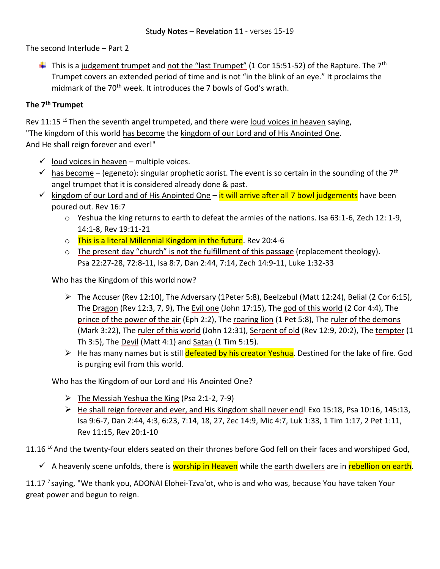The second Interlude – Part 2

**This is a judgement trumpet and not the "last Trumpet" (1 Cor 15:51-52) of the Rapture. The 7<sup>th</sup>** Trumpet covers an extended period of time and is not "in the blink of an eye." It proclaims the midmark of the 70<sup>th</sup> week. It introduces the 7 bowls of God's wrath.

## **The 7th Trumpet**

Rev 11:15<sup>15</sup> Then the seventh angel trumpeted, and there were <u>loud voices in heaven</u> saying, "The kingdom of this world has become the kingdom of our Lord and of His Anointed One. And He shall reign forever and ever!"

- $\checkmark$  loud voices in heaven multiple voices.
- $\checkmark$  has become (egeneto): singular prophetic aorist. The event is so certain in the sounding of the 7<sup>th</sup> angel trumpet that it is considered already done & past.
- $\checkmark$  kingdom of our Lord and of His Anointed One it will arrive after all 7 bowl judgements have been poured out. Rev 16:7
	- $\circ$  Yeshua the king returns to earth to defeat the armies of the nations. Isa 63:1-6, Zech 12: 1-9, 14:1-8, Rev 19:11-21
	- o This is a literal Millennial Kingdom in the future. Rev 20:4-6
	- $\circ$  The present day "church" is not the fulfillment of this passage (replacement theology). Psa 22:27-28, 72:8-11, Isa 8:7, Dan 2:44, 7:14, Zech 14:9-11, Luke 1:32-33

Who has the Kingdom of this world now?

- $\triangleright$  The Accuser (Rev 12:10), The Adversary (1Peter 5:8), Beelzebul (Matt 12:24), Belial (2 Cor 6:15), The Dragon (Rev 12:3, 7, 9), The Evil one (John 17:15), The god of this world (2 Cor 4:4), The prince of the power of the air (Eph 2:2), The roaring lion (1 Pet 5:8), The ruler of the demons (Mark 3:22), The ruler of this world (John 12:31), Serpent of old (Rev 12:9, 20:2), The tempter (1 Th 3:5), The Devil (Matt 4:1) and Satan (1 Tim 5:15).
- $\triangleright$  He has many names but is still defeated by his creator Yeshua. Destined for the lake of fire. God is purging evil from this world.

Who has the Kingdom of our Lord and His Anointed One?

- ➢ The Messiah Yeshua the King (Psa 2:1-2, 7-9)
- $\triangleright$  He shall reign forever and ever, and His Kingdom shall never end! Exo 15:18, Psa 10:16, 145:13, Isa 9:6-7, Dan 2:44, 4:3, 6:23, 7:14, 18, 27, Zec 14:9, Mic 4:7, Luk 1:33, 1 Tim 1:17, 2 Pet 1:11, Rev 11:15, Rev 20:1-10

11.16 <sup>16</sup> And the twenty-four elders seated on their thrones before God fell on their faces and worshiped God,

✓ A heavenly scene unfolds, there is worship in Heaven while the earth dwellers are in rebellion on earth.

11.17<sup>7</sup> saying, "We thank you, ADONAI Elohei-Tzva'ot, who is and who was, because You have taken Your great power and begun to reign.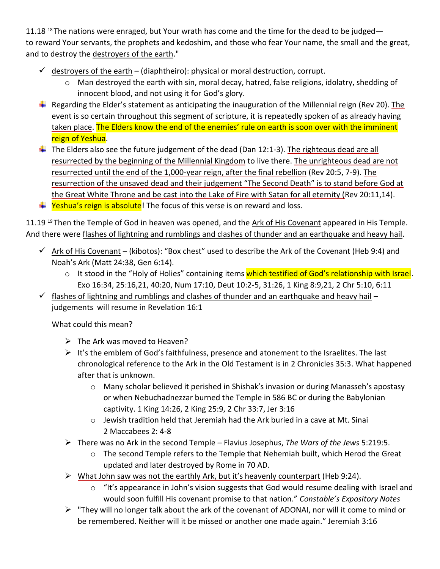11.18<sup>18</sup> The nations were enraged, but Your wrath has come and the time for the dead to be judged to reward Your servants, the prophets and kedoshim, and those who fear Your name, the small and the great, and to destroy the destroyers of the earth."

- $\checkmark$  destroyers of the earth (diaphtheiro): physical or moral destruction, corrupt.
	- o Man destroyed the earth with sin, moral decay, hatred, false religions, idolatry, shedding of innocent blood, and not using it for God's glory.
- Regarding the Elder's statement as anticipating the inauguration of the Millennial reign (Rev 20). The event is so certain throughout this segment of scripture, it is repeatedly spoken of as already having taken place. The Elders know the end of the enemies' rule on earth is soon over with the imminent reign of Yeshua.
- $\ddot{+}$  The Elders also see the future judgement of the dead (Dan 12:1-3). The righteous dead are all resurrected by the beginning of the Millennial Kingdom to live there. The unrighteous dead are not resurrected until the end of the 1,000-year reign, after the final rebellion (Rev 20:5, 7-9). The resurrection of the unsaved dead and their judgement "The Second Death" is to stand before God at the Great White Throne and be cast into the Lake of Fire with Satan for all eternity (Rev 20:11,14).
- $\frac{1}{2}$  Yeshua's reign is absolute! The focus of this verse is on reward and loss.

11.19<sup>19</sup> Then the Temple of God in heaven was opened, and the Ark of His Covenant appeared in His Temple. And there were flashes of lightning and rumblings and clashes of thunder and an earthquake and heavy hail.

- $\checkmark$  Ark of His Covenant (kibotos): "Box chest" used to describe the Ark of the Covenant (Heb 9:4) and Noah's Ark (Matt 24:38, Gen 6:14).
	- $\circ$  It stood in the "Holy of Holies" containing items which testified of God's relationship with Israel. Exo 16:34, 25:16,21, 40:20, Num 17:10, Deut 10:2-5, 31:26, 1 King 8:9,21, 2 Chr 5:10, 6:11
- $\checkmark$  flashes of lightning and rumblings and clashes of thunder and an earthquake and heavy hail judgements will resume in Revelation 16:1

What could this mean?

- $\triangleright$  The Ark was moved to Heaven?
- $\triangleright$  It's the emblem of God's faithfulness, presence and atonement to the Israelites. The last chronological reference to the Ark in the Old Testament is in 2 Chronicles 35:3. What happened after that is unknown.
	- o Many scholar believed it perished in Shishak's invasion or during Manasseh's apostasy or when Nebuchadnezzar burned the Temple in 586 BC or during the Babylonian captivity. 1 King 14:26, 2 King 25:9, 2 Chr 33:7, Jer 3:16
	- $\circ$  Jewish tradition held that Jeremiah had the Ark buried in a cave at Mt. Sinai 2 Maccabees 2: 4-8
- ➢ There was no Ark in the second Temple Flavius Josephus, *The Wars of the Jews* 5:219:5.
	- $\circ$  The second Temple refers to the Temple that Nehemiah built, which Herod the Great updated and later destroyed by Rome in 70 AD.
- ➢ What John saw was not the earthly Ark, but it's heavenly counterpart (Heb 9:24).
	- o "It's appearance in John's vision suggests that God would resume dealing with Israel and would soon fulfill His covenant promise to that nation." *Constable's Expository Notes*
- ➢ "They will no longer talk about the ark of the covenant of ADONAI, nor will it come to mind or be remembered. Neither will it be missed or another one made again." Jeremiah 3:16